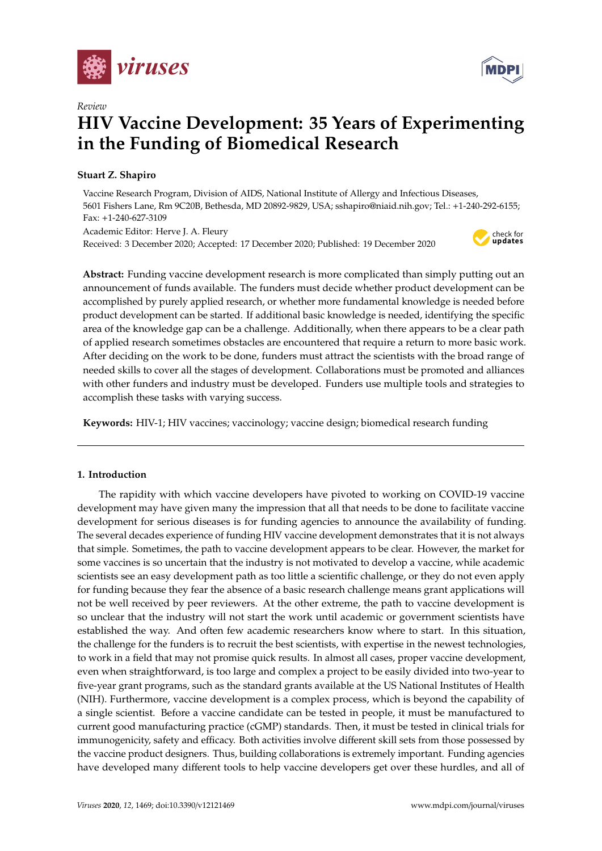



# **HIV Vaccine Development: 35 Years of Experimenting in the Funding of Biomedical Research**

# **Stuart Z. Shapiro**

*Review*

Vaccine Research Program, Division of AIDS, National Institute of Allergy and Infectious Diseases, 5601 Fishers Lane, Rm 9C20B, Bethesda, MD 20892-9829, USA; sshapiro@niaid.nih.gov; Tel.: +1-240-292-6155; Fax: +1-240-627-3109

Academic Editor: Herve J. A. Fleury Received: 3 December 2020; Accepted: 17 December 2020; Published: 19 December 2020



**Abstract:** Funding vaccine development research is more complicated than simply putting out an announcement of funds available. The funders must decide whether product development can be accomplished by purely applied research, or whether more fundamental knowledge is needed before product development can be started. If additional basic knowledge is needed, identifying the specific area of the knowledge gap can be a challenge. Additionally, when there appears to be a clear path of applied research sometimes obstacles are encountered that require a return to more basic work. After deciding on the work to be done, funders must attract the scientists with the broad range of needed skills to cover all the stages of development. Collaborations must be promoted and alliances with other funders and industry must be developed. Funders use multiple tools and strategies to accomplish these tasks with varying success.

**Keywords:** HIV-1; HIV vaccines; vaccinology; vaccine design; biomedical research funding

## **1. Introduction**

The rapidity with which vaccine developers have pivoted to working on COVID-19 vaccine development may have given many the impression that all that needs to be done to facilitate vaccine development for serious diseases is for funding agencies to announce the availability of funding. The several decades experience of funding HIV vaccine development demonstrates that it is not always that simple. Sometimes, the path to vaccine development appears to be clear. However, the market for some vaccines is so uncertain that the industry is not motivated to develop a vaccine, while academic scientists see an easy development path as too little a scientific challenge, or they do not even apply for funding because they fear the absence of a basic research challenge means grant applications will not be well received by peer reviewers. At the other extreme, the path to vaccine development is so unclear that the industry will not start the work until academic or government scientists have established the way. And often few academic researchers know where to start. In this situation, the challenge for the funders is to recruit the best scientists, with expertise in the newest technologies, to work in a field that may not promise quick results. In almost all cases, proper vaccine development, even when straightforward, is too large and complex a project to be easily divided into two-year to five-year grant programs, such as the standard grants available at the US National Institutes of Health (NIH). Furthermore, vaccine development is a complex process, which is beyond the capability of a single scientist. Before a vaccine candidate can be tested in people, it must be manufactured to current good manufacturing practice (cGMP) standards. Then, it must be tested in clinical trials for immunogenicity, safety and efficacy. Both activities involve different skill sets from those possessed by the vaccine product designers. Thus, building collaborations is extremely important. Funding agencies have developed many different tools to help vaccine developers get over these hurdles, and all of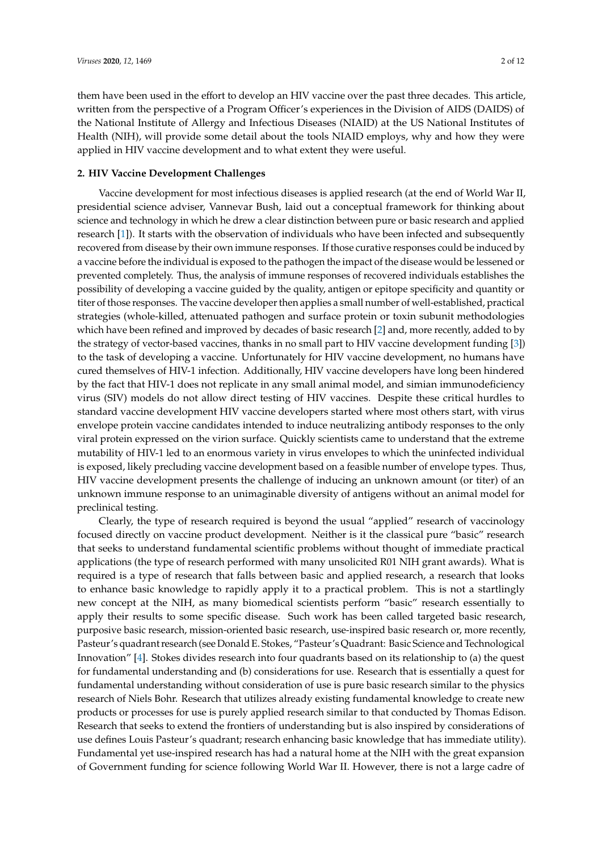them have been used in the effort to develop an HIV vaccine over the past three decades. This article, written from the perspective of a Program Officer's experiences in the Division of AIDS (DAIDS) of the National Institute of Allergy and Infectious Diseases (NIAID) at the US National Institutes of Health (NIH), will provide some detail about the tools NIAID employs, why and how they were applied in HIV vaccine development and to what extent they were useful.

### **2. HIV Vaccine Development Challenges**

Vaccine development for most infectious diseases is applied research (at the end of World War II, presidential science adviser, Vannevar Bush, laid out a conceptual framework for thinking about science and technology in which he drew a clear distinction between pure or basic research and applied research [\[1\]](#page-10-0)). It starts with the observation of individuals who have been infected and subsequently recovered from disease by their own immune responses. If those curative responses could be induced by a vaccine before the individual is exposed to the pathogen the impact of the disease would be lessened or prevented completely. Thus, the analysis of immune responses of recovered individuals establishes the possibility of developing a vaccine guided by the quality, antigen or epitope specificity and quantity or titer of those responses. The vaccine developer then applies a small number of well-established, practical strategies (whole-killed, attenuated pathogen and surface protein or toxin subunit methodologies which have been refined and improved by decades of basic research [\[2\]](#page-10-1) and, more recently, added to by the strategy of vector-based vaccines, thanks in no small part to HIV vaccine development funding [\[3\]](#page-10-2)) to the task of developing a vaccine. Unfortunately for HIV vaccine development, no humans have cured themselves of HIV-1 infection. Additionally, HIV vaccine developers have long been hindered by the fact that HIV-1 does not replicate in any small animal model, and simian immunodeficiency virus (SIV) models do not allow direct testing of HIV vaccines. Despite these critical hurdles to standard vaccine development HIV vaccine developers started where most others start, with virus envelope protein vaccine candidates intended to induce neutralizing antibody responses to the only viral protein expressed on the virion surface. Quickly scientists came to understand that the extreme mutability of HIV-1 led to an enormous variety in virus envelopes to which the uninfected individual is exposed, likely precluding vaccine development based on a feasible number of envelope types. Thus, HIV vaccine development presents the challenge of inducing an unknown amount (or titer) of an unknown immune response to an unimaginable diversity of antigens without an animal model for preclinical testing.

Clearly, the type of research required is beyond the usual "applied" research of vaccinology focused directly on vaccine product development. Neither is it the classical pure "basic" research that seeks to understand fundamental scientific problems without thought of immediate practical applications (the type of research performed with many unsolicited R01 NIH grant awards). What is required is a type of research that falls between basic and applied research, a research that looks to enhance basic knowledge to rapidly apply it to a practical problem. This is not a startlingly new concept at the NIH, as many biomedical scientists perform "basic" research essentially to apply their results to some specific disease. Such work has been called targeted basic research, purposive basic research, mission-oriented basic research, use-inspired basic research or, more recently, Pasteur's quadrant research (see Donald E. Stokes, "Pasteur's Quadrant: Basic Science and Technological Innovation" [\[4\]](#page-10-3). Stokes divides research into four quadrants based on its relationship to (a) the quest for fundamental understanding and (b) considerations for use. Research that is essentially a quest for fundamental understanding without consideration of use is pure basic research similar to the physics research of Niels Bohr. Research that utilizes already existing fundamental knowledge to create new products or processes for use is purely applied research similar to that conducted by Thomas Edison. Research that seeks to extend the frontiers of understanding but is also inspired by considerations of use defines Louis Pasteur's quadrant; research enhancing basic knowledge that has immediate utility). Fundamental yet use-inspired research has had a natural home at the NIH with the great expansion of Government funding for science following World War II. However, there is not a large cadre of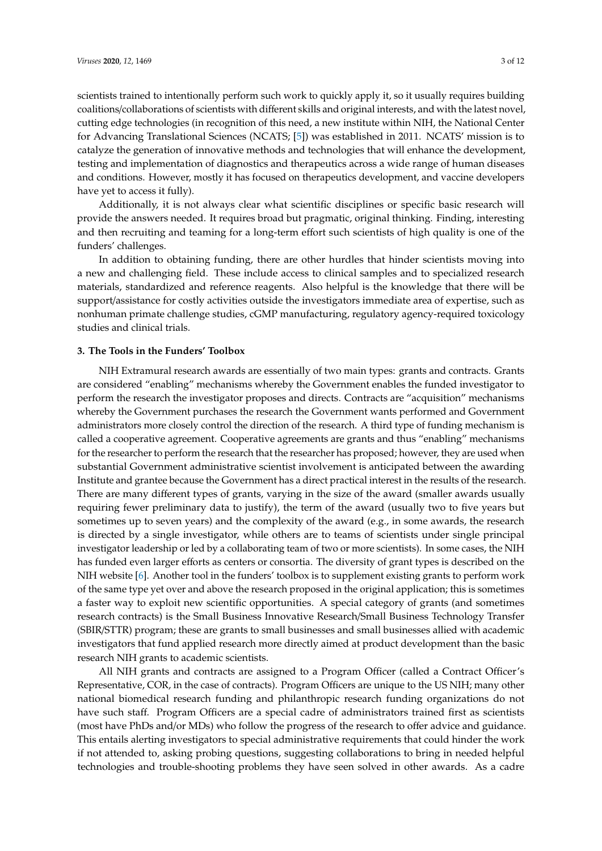scientists trained to intentionally perform such work to quickly apply it, so it usually requires building coalitions/collaborations of scientists with different skills and original interests, and with the latest novel, cutting edge technologies (in recognition of this need, a new institute within NIH, the National Center for Advancing Translational Sciences (NCATS; [\[5\]](#page-10-4)) was established in 2011. NCATS' mission is to catalyze the generation of innovative methods and technologies that will enhance the development, testing and implementation of diagnostics and therapeutics across a wide range of human diseases and conditions. However, mostly it has focused on therapeutics development, and vaccine developers have yet to access it fully).

Additionally, it is not always clear what scientific disciplines or specific basic research will provide the answers needed. It requires broad but pragmatic, original thinking. Finding, interesting and then recruiting and teaming for a long-term effort such scientists of high quality is one of the funders' challenges.

In addition to obtaining funding, there are other hurdles that hinder scientists moving into a new and challenging field. These include access to clinical samples and to specialized research materials, standardized and reference reagents. Also helpful is the knowledge that there will be support/assistance for costly activities outside the investigators immediate area of expertise, such as nonhuman primate challenge studies, cGMP manufacturing, regulatory agency-required toxicology studies and clinical trials.

#### **3. The Tools in the Funders' Toolbox**

NIH Extramural research awards are essentially of two main types: grants and contracts. Grants are considered "enabling" mechanisms whereby the Government enables the funded investigator to perform the research the investigator proposes and directs. Contracts are "acquisition" mechanisms whereby the Government purchases the research the Government wants performed and Government administrators more closely control the direction of the research. A third type of funding mechanism is called a cooperative agreement. Cooperative agreements are grants and thus "enabling" mechanisms for the researcher to perform the research that the researcher has proposed; however, they are used when substantial Government administrative scientist involvement is anticipated between the awarding Institute and grantee because the Government has a direct practical interest in the results of the research. There are many different types of grants, varying in the size of the award (smaller awards usually requiring fewer preliminary data to justify), the term of the award (usually two to five years but sometimes up to seven years) and the complexity of the award (e.g., in some awards, the research is directed by a single investigator, while others are to teams of scientists under single principal investigator leadership or led by a collaborating team of two or more scientists). In some cases, the NIH has funded even larger efforts as centers or consortia. The diversity of grant types is described on the NIH website [\[6\]](#page-10-5). Another tool in the funders' toolbox is to supplement existing grants to perform work of the same type yet over and above the research proposed in the original application; this is sometimes a faster way to exploit new scientific opportunities. A special category of grants (and sometimes research contracts) is the Small Business Innovative Research/Small Business Technology Transfer (SBIR/STTR) program; these are grants to small businesses and small businesses allied with academic investigators that fund applied research more directly aimed at product development than the basic research NIH grants to academic scientists.

All NIH grants and contracts are assigned to a Program Officer (called a Contract Officer's Representative, COR, in the case of contracts). Program Officers are unique to the US NIH; many other national biomedical research funding and philanthropic research funding organizations do not have such staff. Program Officers are a special cadre of administrators trained first as scientists (most have PhDs and/or MDs) who follow the progress of the research to offer advice and guidance. This entails alerting investigators to special administrative requirements that could hinder the work if not attended to, asking probing questions, suggesting collaborations to bring in needed helpful technologies and trouble-shooting problems they have seen solved in other awards. As a cadre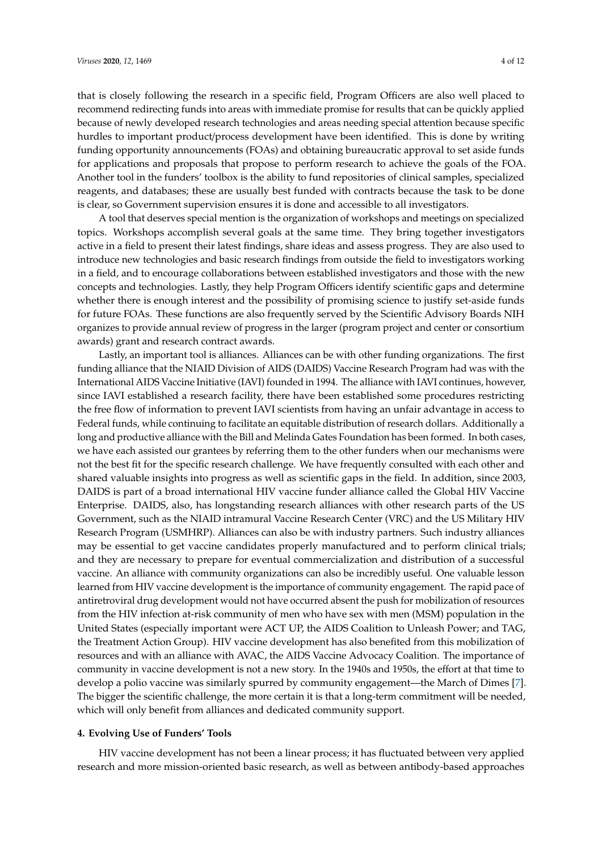that is closely following the research in a specific field, Program Officers are also well placed to recommend redirecting funds into areas with immediate promise for results that can be quickly applied because of newly developed research technologies and areas needing special attention because specific hurdles to important product/process development have been identified. This is done by writing funding opportunity announcements (FOAs) and obtaining bureaucratic approval to set aside funds for applications and proposals that propose to perform research to achieve the goals of the FOA. Another tool in the funders' toolbox is the ability to fund repositories of clinical samples, specialized reagents, and databases; these are usually best funded with contracts because the task to be done is clear, so Government supervision ensures it is done and accessible to all investigators.

A tool that deserves special mention is the organization of workshops and meetings on specialized topics. Workshops accomplish several goals at the same time. They bring together investigators active in a field to present their latest findings, share ideas and assess progress. They are also used to introduce new technologies and basic research findings from outside the field to investigators working in a field, and to encourage collaborations between established investigators and those with the new concepts and technologies. Lastly, they help Program Officers identify scientific gaps and determine whether there is enough interest and the possibility of promising science to justify set-aside funds for future FOAs. These functions are also frequently served by the Scientific Advisory Boards NIH organizes to provide annual review of progress in the larger (program project and center or consortium awards) grant and research contract awards.

Lastly, an important tool is alliances. Alliances can be with other funding organizations. The first funding alliance that the NIAID Division of AIDS (DAIDS) Vaccine Research Program had was with the International AIDS Vaccine Initiative (IAVI) founded in 1994. The alliance with IAVI continues, however, since IAVI established a research facility, there have been established some procedures restricting the free flow of information to prevent IAVI scientists from having an unfair advantage in access to Federal funds, while continuing to facilitate an equitable distribution of research dollars. Additionally a long and productive alliance with the Bill and Melinda Gates Foundation has been formed. In both cases, we have each assisted our grantees by referring them to the other funders when our mechanisms were not the best fit for the specific research challenge. We have frequently consulted with each other and shared valuable insights into progress as well as scientific gaps in the field. In addition, since 2003, DAIDS is part of a broad international HIV vaccine funder alliance called the Global HIV Vaccine Enterprise. DAIDS, also, has longstanding research alliances with other research parts of the US Government, such as the NIAID intramural Vaccine Research Center (VRC) and the US Military HIV Research Program (USMHRP). Alliances can also be with industry partners. Such industry alliances may be essential to get vaccine candidates properly manufactured and to perform clinical trials; and they are necessary to prepare for eventual commercialization and distribution of a successful vaccine. An alliance with community organizations can also be incredibly useful. One valuable lesson learned from HIV vaccine development is the importance of community engagement. The rapid pace of antiretroviral drug development would not have occurred absent the push for mobilization of resources from the HIV infection at-risk community of men who have sex with men (MSM) population in the United States (especially important were ACT UP, the AIDS Coalition to Unleash Power; and TAG, the Treatment Action Group). HIV vaccine development has also benefited from this mobilization of resources and with an alliance with AVAC, the AIDS Vaccine Advocacy Coalition. The importance of community in vaccine development is not a new story. In the 1940s and 1950s, the effort at that time to develop a polio vaccine was similarly spurred by community engagement—the March of Dimes [\[7\]](#page-10-6). The bigger the scientific challenge, the more certain it is that a long-term commitment will be needed, which will only benefit from alliances and dedicated community support.

## **4. Evolving Use of Funders' Tools**

HIV vaccine development has not been a linear process; it has fluctuated between very applied research and more mission-oriented basic research, as well as between antibody-based approaches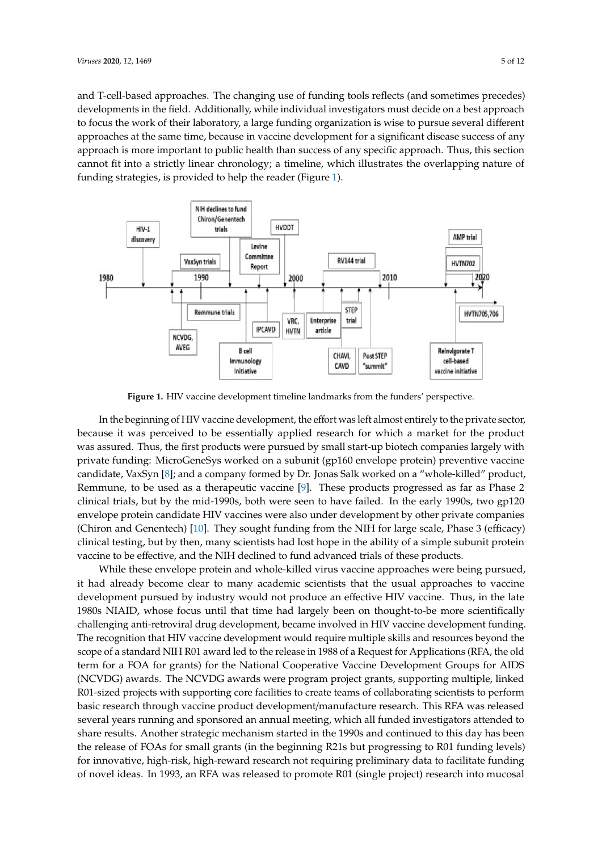and T-cell-based approaches. The changing use of funding tools reflects (and sometimes precedes) developments in the field. Additionally, while individual investigators must decide on a best approach to focus the work of their laboratory, a large funding organization is wise to pursue several different approaches at the same time, because in vaccine development for a significant disease success of any approach is more important to public health than success of any specific approach. Thus, this section cannot fit into a strictly linear chronology; a timeline, which illustrates the overlapping nature of funding strategies, is provided to help the reader (Figure [1\)](#page-4-0).

<span id="page-4-0"></span>

**Figure 1.** HIV vaccine development timeline landmarks from the funders' perspective.

because it was perceived to be essentially applied research for which a market for the product private funding: MicroGeneSys worked on a subunit (gp160 envelope protein) preventive vaccine candidate, VaxSyn [\[8\]](#page-10-7); and a company formed by Dr. Jonas Salk worked on a "whole-killed" product, Remmune, to be used as a therapeutic vaccine [\[9\]](#page-10-8). These products progressed as far as Phase 2 clinical trials, but by the mid-1990s, both were seen to have failed. In the early 1990s, two gp120 envelope protein candidate HIV vaccines were also under development by other private companies (Chiron and Genentech) [\[10\]](#page-10-9). They sought funding from the NIH for large scale, Phase 3 (efficacy) clinical testing, but by then, many scientists had lost hope in the ability of a simple subunit protein vaccine to be effective, and the NIH declined to fund advanced trials of these products. In the beginning of HIV vaccine development, the effort was left almost entirely to the private sector, was assured. Thus, the first products were pursued by small start-up biotech companies largely with

While these envelope protein and whole-killed virus vaccine approaches were being pursued, it had already become clear to many academic scientists that the usual approaches to vaccine development pursued by industry would not produce an effective HIV vaccine. Thus, in the late 1980s NIAID, whose focus until that time had largely been on thought-to-be more scientifically challenging anti-retroviral drug development, became involved in HIV vaccine development funding. The recognition that HIV vaccine development would require multiple skills and resources beyond the scope of a standard NIH R01 award led to the release in 1988 of a Request for Applications (RFA, the old term for a FOA for grants) for the National Cooperative Vaccine Development Groups for AIDS (NCVDG) awards. The NCVDG awards were program project grants, supporting multiple, linked R01-sized projects with supporting core facilities to create teams of collaborating scientists to perform basic research through vaccine product development/manufacture research. This RFA was released several years running and sponsored an annual meeting, which all funded investigators attended to share results. Another strategic mechanism started in the 1990s and continued to this day has been the release of FOAs for small grants (in the beginning R21s but progressing to R01 funding levels) for innovative, high-risk, high-reward research not requiring preliminary data to facilitate funding of novel ideas. In 1993, an RFA was released to promote R01 (single project) research into mucosal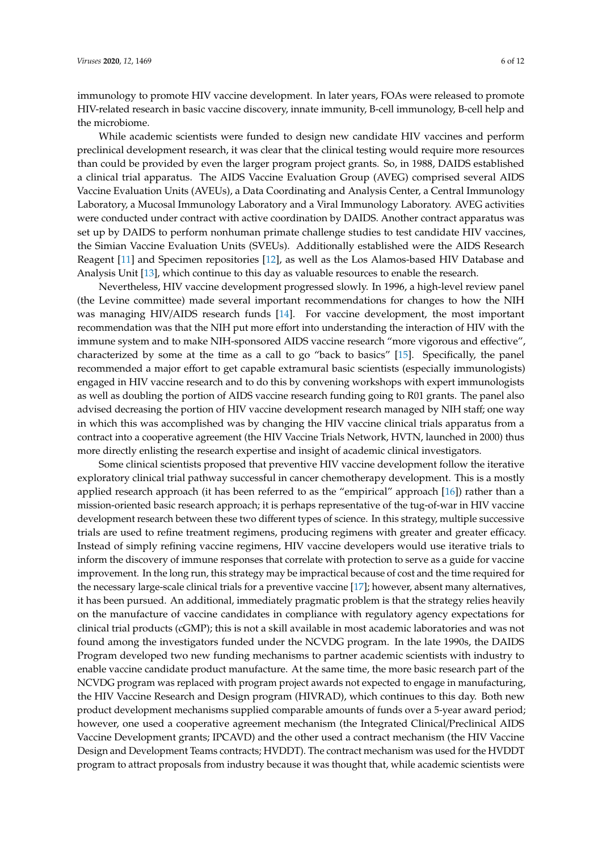immunology to promote HIV vaccine development. In later years, FOAs were released to promote HIV-related research in basic vaccine discovery, innate immunity, B-cell immunology, B-cell help and the microbiome.

While academic scientists were funded to design new candidate HIV vaccines and perform preclinical development research, it was clear that the clinical testing would require more resources than could be provided by even the larger program project grants. So, in 1988, DAIDS established a clinical trial apparatus. The AIDS Vaccine Evaluation Group (AVEG) comprised several AIDS Vaccine Evaluation Units (AVEUs), a Data Coordinating and Analysis Center, a Central Immunology Laboratory, a Mucosal Immunology Laboratory and a Viral Immunology Laboratory. AVEG activities were conducted under contract with active coordination by DAIDS. Another contract apparatus was set up by DAIDS to perform nonhuman primate challenge studies to test candidate HIV vaccines, the Simian Vaccine Evaluation Units (SVEUs). Additionally established were the AIDS Research Reagent [\[11\]](#page-10-10) and Specimen repositories [\[12\]](#page-10-11), as well as the Los Alamos-based HIV Database and Analysis Unit [\[13\]](#page-10-12), which continue to this day as valuable resources to enable the research.

Nevertheless, HIV vaccine development progressed slowly. In 1996, a high-level review panel (the Levine committee) made several important recommendations for changes to how the NIH was managing HIV/AIDS research funds [\[14\]](#page-10-13). For vaccine development, the most important recommendation was that the NIH put more effort into understanding the interaction of HIV with the immune system and to make NIH-sponsored AIDS vaccine research "more vigorous and effective", characterized by some at the time as a call to go "back to basics" [\[15\]](#page-10-14). Specifically, the panel recommended a major effort to get capable extramural basic scientists (especially immunologists) engaged in HIV vaccine research and to do this by convening workshops with expert immunologists as well as doubling the portion of AIDS vaccine research funding going to R01 grants. The panel also advised decreasing the portion of HIV vaccine development research managed by NIH staff; one way in which this was accomplished was by changing the HIV vaccine clinical trials apparatus from a contract into a cooperative agreement (the HIV Vaccine Trials Network, HVTN, launched in 2000) thus more directly enlisting the research expertise and insight of academic clinical investigators.

Some clinical scientists proposed that preventive HIV vaccine development follow the iterative exploratory clinical trial pathway successful in cancer chemotherapy development. This is a mostly applied research approach (it has been referred to as the "empirical" approach [\[16\]](#page-11-0)) rather than a mission-oriented basic research approach; it is perhaps representative of the tug-of-war in HIV vaccine development research between these two different types of science. In this strategy, multiple successive trials are used to refine treatment regimens, producing regimens with greater and greater efficacy. Instead of simply refining vaccine regimens, HIV vaccine developers would use iterative trials to inform the discovery of immune responses that correlate with protection to serve as a guide for vaccine improvement. In the long run, this strategy may be impractical because of cost and the time required for the necessary large-scale clinical trials for a preventive vaccine [\[17\]](#page-11-1); however, absent many alternatives, it has been pursued. An additional, immediately pragmatic problem is that the strategy relies heavily on the manufacture of vaccine candidates in compliance with regulatory agency expectations for clinical trial products (cGMP); this is not a skill available in most academic laboratories and was not found among the investigators funded under the NCVDG program. In the late 1990s, the DAIDS Program developed two new funding mechanisms to partner academic scientists with industry to enable vaccine candidate product manufacture. At the same time, the more basic research part of the NCVDG program was replaced with program project awards not expected to engage in manufacturing, the HIV Vaccine Research and Design program (HIVRAD), which continues to this day. Both new product development mechanisms supplied comparable amounts of funds over a 5-year award period; however, one used a cooperative agreement mechanism (the Integrated Clinical/Preclinical AIDS Vaccine Development grants; IPCAVD) and the other used a contract mechanism (the HIV Vaccine Design and Development Teams contracts; HVDDT). The contract mechanism was used for the HVDDT program to attract proposals from industry because it was thought that, while academic scientists were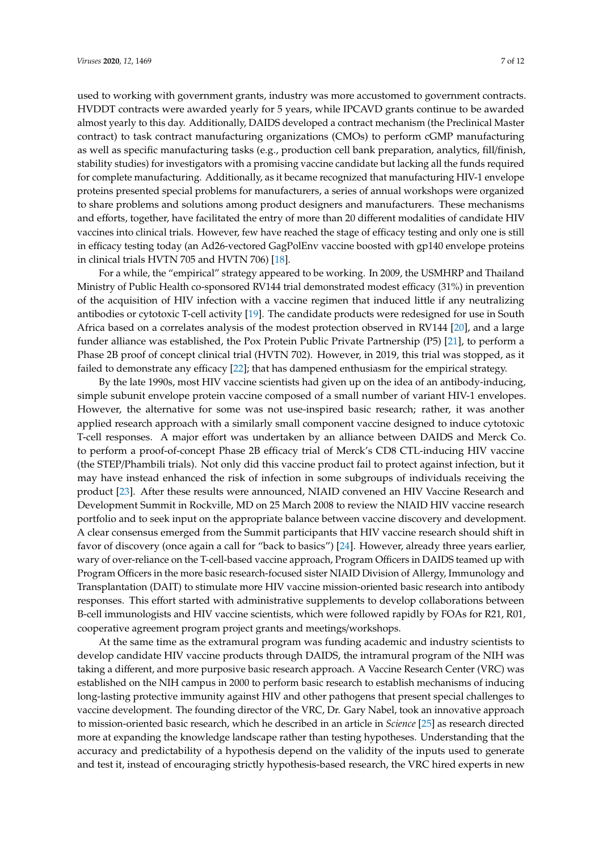used to working with government grants, industry was more accustomed to government contracts. HVDDT contracts were awarded yearly for 5 years, while IPCAVD grants continue to be awarded almost yearly to this day. Additionally, DAIDS developed a contract mechanism (the Preclinical Master contract) to task contract manufacturing organizations (CMOs) to perform cGMP manufacturing as well as specific manufacturing tasks (e.g., production cell bank preparation, analytics, fill/finish, stability studies) for investigators with a promising vaccine candidate but lacking all the funds required for complete manufacturing. Additionally, as it became recognized that manufacturing HIV-1 envelope proteins presented special problems for manufacturers, a series of annual workshops were organized to share problems and solutions among product designers and manufacturers. These mechanisms and efforts, together, have facilitated the entry of more than 20 different modalities of candidate HIV vaccines into clinical trials. However, few have reached the stage of efficacy testing and only one is still in efficacy testing today (an Ad26-vectored GagPolEnv vaccine boosted with gp140 envelope proteins in clinical trials HVTN 705 and HVTN 706) [\[18\]](#page-11-2).

For a while, the "empirical" strategy appeared to be working. In 2009, the USMHRP and Thailand Ministry of Public Health co-sponsored RV144 trial demonstrated modest efficacy (31%) in prevention of the acquisition of HIV infection with a vaccine regimen that induced little if any neutralizing antibodies or cytotoxic T-cell activity [\[19\]](#page-11-3). The candidate products were redesigned for use in South Africa based on a correlates analysis of the modest protection observed in RV144 [\[20\]](#page-11-4), and a large funder alliance was established, the Pox Protein Public Private Partnership (P5) [\[21\]](#page-11-5), to perform a Phase 2B proof of concept clinical trial (HVTN 702). However, in 2019, this trial was stopped, as it failed to demonstrate any efficacy [\[22\]](#page-11-6); that has dampened enthusiasm for the empirical strategy.

By the late 1990s, most HIV vaccine scientists had given up on the idea of an antibody-inducing, simple subunit envelope protein vaccine composed of a small number of variant HIV-1 envelopes. However, the alternative for some was not use-inspired basic research; rather, it was another applied research approach with a similarly small component vaccine designed to induce cytotoxic T-cell responses. A major effort was undertaken by an alliance between DAIDS and Merck Co. to perform a proof-of-concept Phase 2B efficacy trial of Merck's CD8 CTL-inducing HIV vaccine (the STEP/Phambili trials). Not only did this vaccine product fail to protect against infection, but it may have instead enhanced the risk of infection in some subgroups of individuals receiving the product [\[23\]](#page-11-7). After these results were announced, NIAID convened an HIV Vaccine Research and Development Summit in Rockville, MD on 25 March 2008 to review the NIAID HIV vaccine research portfolio and to seek input on the appropriate balance between vaccine discovery and development. A clear consensus emerged from the Summit participants that HIV vaccine research should shift in favor of discovery (once again a call for "back to basics") [\[24\]](#page-11-8). However, already three years earlier, wary of over-reliance on the T-cell-based vaccine approach, Program Officers in DAIDS teamed up with Program Officers in the more basic research-focused sister NIAID Division of Allergy, Immunology and Transplantation (DAIT) to stimulate more HIV vaccine mission-oriented basic research into antibody responses. This effort started with administrative supplements to develop collaborations between B-cell immunologists and HIV vaccine scientists, which were followed rapidly by FOAs for R21, R01, cooperative agreement program project grants and meetings/workshops.

At the same time as the extramural program was funding academic and industry scientists to develop candidate HIV vaccine products through DAIDS, the intramural program of the NIH was taking a different, and more purposive basic research approach. A Vaccine Research Center (VRC) was established on the NIH campus in 2000 to perform basic research to establish mechanisms of inducing long-lasting protective immunity against HIV and other pathogens that present special challenges to vaccine development. The founding director of the VRC, Dr. Gary Nabel, took an innovative approach to mission-oriented basic research, which he described in an article in *Science* [\[25\]](#page-11-9) as research directed more at expanding the knowledge landscape rather than testing hypotheses. Understanding that the accuracy and predictability of a hypothesis depend on the validity of the inputs used to generate and test it, instead of encouraging strictly hypothesis-based research, the VRC hired experts in new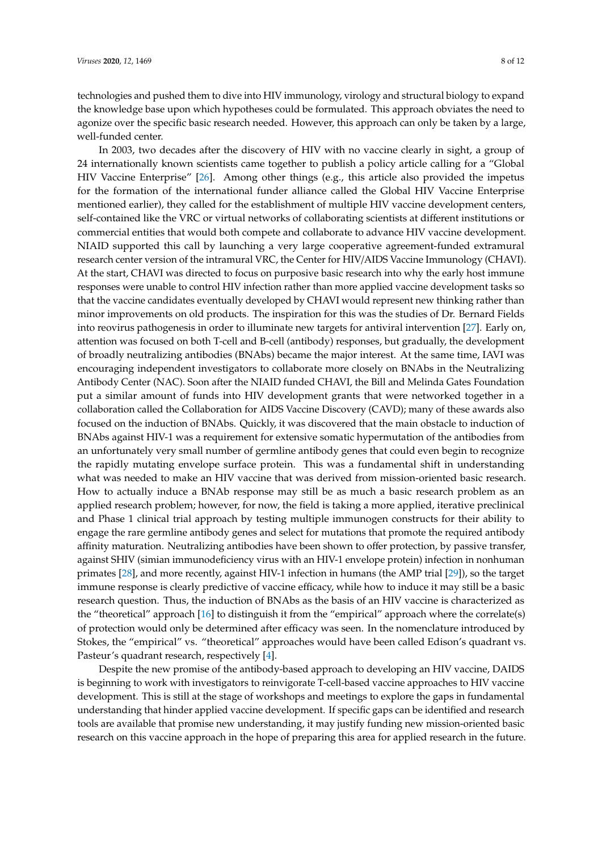technologies and pushed them to dive into HIV immunology, virology and structural biology to expand the knowledge base upon which hypotheses could be formulated. This approach obviates the need to agonize over the specific basic research needed. However, this approach can only be taken by a large, well-funded center.

In 2003, two decades after the discovery of HIV with no vaccine clearly in sight, a group of 24 internationally known scientists came together to publish a policy article calling for a "Global HIV Vaccine Enterprise" [\[26\]](#page-11-10). Among other things (e.g., this article also provided the impetus for the formation of the international funder alliance called the Global HIV Vaccine Enterprise mentioned earlier), they called for the establishment of multiple HIV vaccine development centers, self-contained like the VRC or virtual networks of collaborating scientists at different institutions or commercial entities that would both compete and collaborate to advance HIV vaccine development. NIAID supported this call by launching a very large cooperative agreement-funded extramural research center version of the intramural VRC, the Center for HIV/AIDS Vaccine Immunology (CHAVI). At the start, CHAVI was directed to focus on purposive basic research into why the early host immune responses were unable to control HIV infection rather than more applied vaccine development tasks so that the vaccine candidates eventually developed by CHAVI would represent new thinking rather than minor improvements on old products. The inspiration for this was the studies of Dr. Bernard Fields into reovirus pathogenesis in order to illuminate new targets for antiviral intervention [\[27\]](#page-11-11). Early on, attention was focused on both T-cell and B-cell (antibody) responses, but gradually, the development of broadly neutralizing antibodies (BNAbs) became the major interest. At the same time, IAVI was encouraging independent investigators to collaborate more closely on BNAbs in the Neutralizing Antibody Center (NAC). Soon after the NIAID funded CHAVI, the Bill and Melinda Gates Foundation put a similar amount of funds into HIV development grants that were networked together in a collaboration called the Collaboration for AIDS Vaccine Discovery (CAVD); many of these awards also focused on the induction of BNAbs. Quickly, it was discovered that the main obstacle to induction of BNAbs against HIV-1 was a requirement for extensive somatic hypermutation of the antibodies from an unfortunately very small number of germline antibody genes that could even begin to recognize the rapidly mutating envelope surface protein. This was a fundamental shift in understanding what was needed to make an HIV vaccine that was derived from mission-oriented basic research. How to actually induce a BNAb response may still be as much a basic research problem as an applied research problem; however, for now, the field is taking a more applied, iterative preclinical and Phase 1 clinical trial approach by testing multiple immunogen constructs for their ability to engage the rare germline antibody genes and select for mutations that promote the required antibody affinity maturation. Neutralizing antibodies have been shown to offer protection, by passive transfer, against SHIV (simian immunodeficiency virus with an HIV-1 envelope protein) infection in nonhuman primates [\[28\]](#page-11-12), and more recently, against HIV-1 infection in humans (the AMP trial [\[29\]](#page-11-13)), so the target immune response is clearly predictive of vaccine efficacy, while how to induce it may still be a basic research question. Thus, the induction of BNAbs as the basis of an HIV vaccine is characterized as the "theoretical" approach [\[16\]](#page-11-0) to distinguish it from the "empirical" approach where the correlate(s) of protection would only be determined after efficacy was seen. In the nomenclature introduced by Stokes, the "empirical" vs. "theoretical" approaches would have been called Edison's quadrant vs. Pasteur's quadrant research, respectively [\[4\]](#page-10-3).

Despite the new promise of the antibody-based approach to developing an HIV vaccine, DAIDS is beginning to work with investigators to reinvigorate T-cell-based vaccine approaches to HIV vaccine development. This is still at the stage of workshops and meetings to explore the gaps in fundamental understanding that hinder applied vaccine development. If specific gaps can be identified and research tools are available that promise new understanding, it may justify funding new mission-oriented basic research on this vaccine approach in the hope of preparing this area for applied research in the future.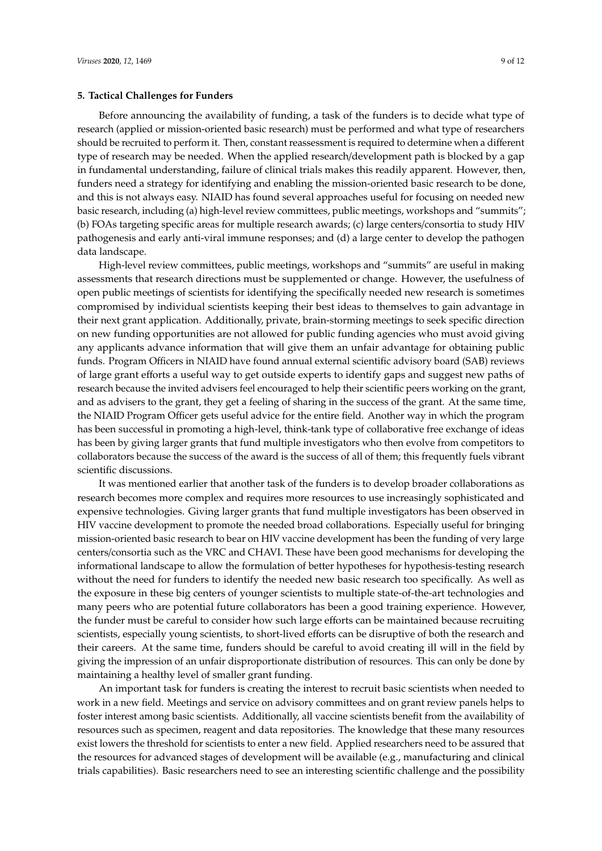### **5. Tactical Challenges for Funders**

Before announcing the availability of funding, a task of the funders is to decide what type of research (applied or mission-oriented basic research) must be performed and what type of researchers should be recruited to perform it. Then, constant reassessment is required to determine when a different type of research may be needed. When the applied research/development path is blocked by a gap in fundamental understanding, failure of clinical trials makes this readily apparent. However, then, funders need a strategy for identifying and enabling the mission-oriented basic research to be done, and this is not always easy. NIAID has found several approaches useful for focusing on needed new basic research, including (a) high-level review committees, public meetings, workshops and "summits"; (b) FOAs targeting specific areas for multiple research awards; (c) large centers/consortia to study HIV pathogenesis and early anti-viral immune responses; and (d) a large center to develop the pathogen data landscape.

High-level review committees, public meetings, workshops and "summits" are useful in making assessments that research directions must be supplemented or change. However, the usefulness of open public meetings of scientists for identifying the specifically needed new research is sometimes compromised by individual scientists keeping their best ideas to themselves to gain advantage in their next grant application. Additionally, private, brain-storming meetings to seek specific direction on new funding opportunities are not allowed for public funding agencies who must avoid giving any applicants advance information that will give them an unfair advantage for obtaining public funds. Program Officers in NIAID have found annual external scientific advisory board (SAB) reviews of large grant efforts a useful way to get outside experts to identify gaps and suggest new paths of research because the invited advisers feel encouraged to help their scientific peers working on the grant, and as advisers to the grant, they get a feeling of sharing in the success of the grant. At the same time, the NIAID Program Officer gets useful advice for the entire field. Another way in which the program has been successful in promoting a high-level, think-tank type of collaborative free exchange of ideas has been by giving larger grants that fund multiple investigators who then evolve from competitors to collaborators because the success of the award is the success of all of them; this frequently fuels vibrant scientific discussions.

It was mentioned earlier that another task of the funders is to develop broader collaborations as research becomes more complex and requires more resources to use increasingly sophisticated and expensive technologies. Giving larger grants that fund multiple investigators has been observed in HIV vaccine development to promote the needed broad collaborations. Especially useful for bringing mission-oriented basic research to bear on HIV vaccine development has been the funding of very large centers/consortia such as the VRC and CHAVI. These have been good mechanisms for developing the informational landscape to allow the formulation of better hypotheses for hypothesis-testing research without the need for funders to identify the needed new basic research too specifically. As well as the exposure in these big centers of younger scientists to multiple state-of-the-art technologies and many peers who are potential future collaborators has been a good training experience. However, the funder must be careful to consider how such large efforts can be maintained because recruiting scientists, especially young scientists, to short-lived efforts can be disruptive of both the research and their careers. At the same time, funders should be careful to avoid creating ill will in the field by giving the impression of an unfair disproportionate distribution of resources. This can only be done by maintaining a healthy level of smaller grant funding.

An important task for funders is creating the interest to recruit basic scientists when needed to work in a new field. Meetings and service on advisory committees and on grant review panels helps to foster interest among basic scientists. Additionally, all vaccine scientists benefit from the availability of resources such as specimen, reagent and data repositories. The knowledge that these many resources exist lowers the threshold for scientists to enter a new field. Applied researchers need to be assured that the resources for advanced stages of development will be available (e.g., manufacturing and clinical trials capabilities). Basic researchers need to see an interesting scientific challenge and the possibility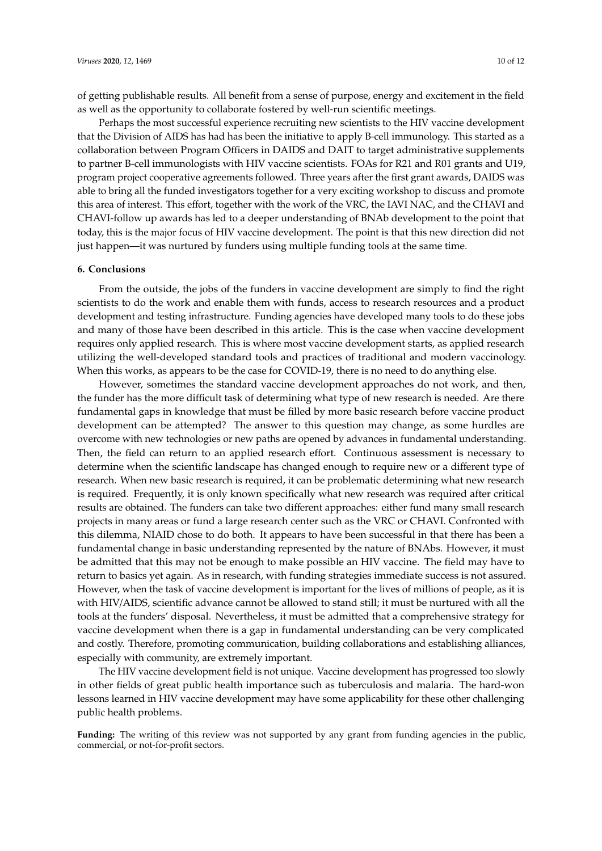of getting publishable results. All benefit from a sense of purpose, energy and excitement in the field as well as the opportunity to collaborate fostered by well-run scientific meetings.

Perhaps the most successful experience recruiting new scientists to the HIV vaccine development that the Division of AIDS has had has been the initiative to apply B-cell immunology. This started as a collaboration between Program Officers in DAIDS and DAIT to target administrative supplements to partner B-cell immunologists with HIV vaccine scientists. FOAs for R21 and R01 grants and U19, program project cooperative agreements followed. Three years after the first grant awards, DAIDS was able to bring all the funded investigators together for a very exciting workshop to discuss and promote this area of interest. This effort, together with the work of the VRC, the IAVI NAC, and the CHAVI and CHAVI-follow up awards has led to a deeper understanding of BNAb development to the point that today, this is the major focus of HIV vaccine development. The point is that this new direction did not just happen—it was nurtured by funders using multiple funding tools at the same time.

#### **6. Conclusions**

From the outside, the jobs of the funders in vaccine development are simply to find the right scientists to do the work and enable them with funds, access to research resources and a product development and testing infrastructure. Funding agencies have developed many tools to do these jobs and many of those have been described in this article. This is the case when vaccine development requires only applied research. This is where most vaccine development starts, as applied research utilizing the well-developed standard tools and practices of traditional and modern vaccinology. When this works, as appears to be the case for COVID-19, there is no need to do anything else.

However, sometimes the standard vaccine development approaches do not work, and then, the funder has the more difficult task of determining what type of new research is needed. Are there fundamental gaps in knowledge that must be filled by more basic research before vaccine product development can be attempted? The answer to this question may change, as some hurdles are overcome with new technologies or new paths are opened by advances in fundamental understanding. Then, the field can return to an applied research effort. Continuous assessment is necessary to determine when the scientific landscape has changed enough to require new or a different type of research. When new basic research is required, it can be problematic determining what new research is required. Frequently, it is only known specifically what new research was required after critical results are obtained. The funders can take two different approaches: either fund many small research projects in many areas or fund a large research center such as the VRC or CHAVI. Confronted with this dilemma, NIAID chose to do both. It appears to have been successful in that there has been a fundamental change in basic understanding represented by the nature of BNAbs. However, it must be admitted that this may not be enough to make possible an HIV vaccine. The field may have to return to basics yet again. As in research, with funding strategies immediate success is not assured. However, when the task of vaccine development is important for the lives of millions of people, as it is with HIV/AIDS, scientific advance cannot be allowed to stand still; it must be nurtured with all the tools at the funders' disposal. Nevertheless, it must be admitted that a comprehensive strategy for vaccine development when there is a gap in fundamental understanding can be very complicated and costly. Therefore, promoting communication, building collaborations and establishing alliances, especially with community, are extremely important.

The HIV vaccine development field is not unique. Vaccine development has progressed too slowly in other fields of great public health importance such as tuberculosis and malaria. The hard-won lessons learned in HIV vaccine development may have some applicability for these other challenging public health problems.

Funding: The writing of this review was not supported by any grant from funding agencies in the public, commercial, or not-for-profit sectors.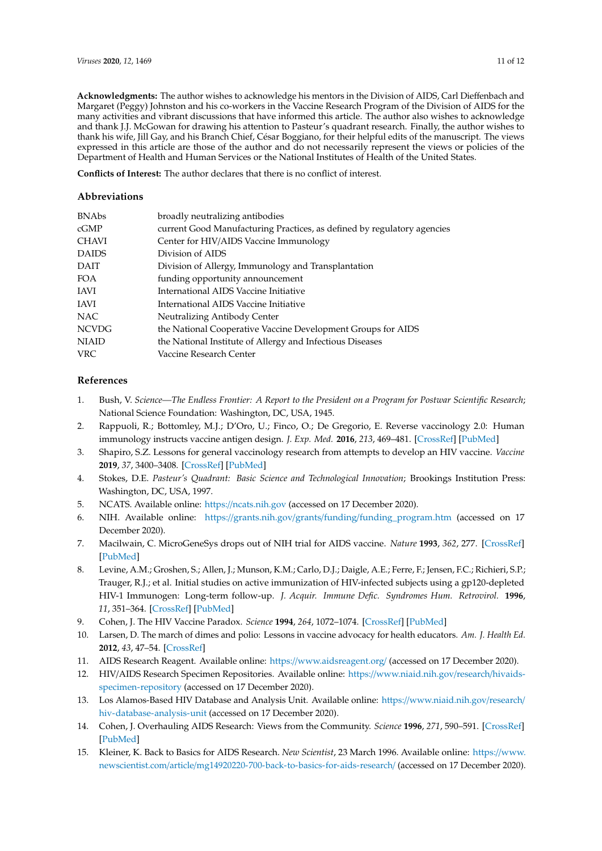**Acknowledgments:** The author wishes to acknowledge his mentors in the Division of AIDS, Carl Dieffenbach and Margaret (Peggy) Johnston and his co-workers in the Vaccine Research Program of the Division of AIDS for the many activities and vibrant discussions that have informed this article. The author also wishes to acknowledge and thank J.J. McGowan for drawing his attention to Pasteur's quadrant research. Finally, the author wishes to thank his wife, Jill Gay, and his Branch Chief, César Boggiano, for their helpful edits of the manuscript. The views expressed in this article are those of the author and do not necessarily represent the views or policies of the Department of Health and Human Services or the National Institutes of Health of the United States.

**Conflicts of Interest:** The author declares that there is no conflict of interest.

#### **Abbreviations**

| <b>BNAbs</b> | broadly neutralizing antibodies                                         |
|--------------|-------------------------------------------------------------------------|
| cGMP         | current Good Manufacturing Practices, as defined by regulatory agencies |
| <b>CHAVI</b> | Center for HIV/AIDS Vaccine Immunology                                  |
| <b>DAIDS</b> | Division of AIDS                                                        |
| DAIT         | Division of Allergy, Immunology and Transplantation                     |
| FOA          | funding opportunity announcement                                        |
| IAVI         | International AIDS Vaccine Initiative                                   |
| IAVI         | International AIDS Vaccine Initiative                                   |
| NAC          | Neutralizing Antibody Center                                            |
| <b>NCVDG</b> | the National Cooperative Vaccine Development Groups for AIDS            |
| <b>NIAID</b> | the National Institute of Allergy and Infectious Diseases               |
| <b>VRC</b>   | Vaccine Research Center                                                 |
|              |                                                                         |

## **References**

- <span id="page-10-0"></span>1. Bush, V. *Science—The Endless Frontier: A Report to the President on a Program for Postwar Scientific Research*; National Science Foundation: Washington, DC, USA, 1945.
- <span id="page-10-1"></span>2. Rappuoli, R.; Bottomley, M.J.; D'Oro, U.; Finco, O.; De Gregorio, E. Reverse vaccinology 2.0: Human immunology instructs vaccine antigen design. *J. Exp. Med.* **2016**, *213*, 469–481. [\[CrossRef\]](http://dx.doi.org/10.1084/jem.20151960) [\[PubMed\]](http://www.ncbi.nlm.nih.gov/pubmed/27022144)
- <span id="page-10-2"></span>3. Shapiro, S.Z. Lessons for general vaccinology research from attempts to develop an HIV vaccine. *Vaccine* **2019**, *37*, 3400–3408. [\[CrossRef\]](http://dx.doi.org/10.1016/j.vaccine.2019.04.005) [\[PubMed\]](http://www.ncbi.nlm.nih.gov/pubmed/30979571)
- <span id="page-10-3"></span>4. Stokes, D.E. *Pasteur's Quadrant: Basic Science and Technological Innovation*; Brookings Institution Press: Washington, DC, USA, 1997.
- <span id="page-10-4"></span>5. NCATS. Available online: https://[ncats.nih.gov](https://ncats.nih.gov) (accessed on 17 December 2020).
- <span id="page-10-5"></span>6. NIH. Available online: https://grants.nih.gov/grants/funding/[funding\\_program.htm](https://grants.nih.gov/grants/funding/funding_program.htm) (accessed on 17 December 2020).
- <span id="page-10-6"></span>7. Macilwain, C. MicroGeneSys drops out of NIH trial for AIDS vaccine. *Nature* **1993**, *362*, 277. [\[CrossRef\]](http://dx.doi.org/10.1038/362277a0) [\[PubMed\]](http://www.ncbi.nlm.nih.gov/pubmed/8455703)
- <span id="page-10-7"></span>8. Levine, A.M.; Groshen, S.; Allen, J.; Munson, K.M.; Carlo, D.J.; Daigle, A.E.; Ferre, F.; Jensen, F.C.; Richieri, S.P.; Trauger, R.J.; et al. Initial studies on active immunization of HIV-infected subjects using a gp120-depleted HIV-1 Immunogen: Long-term follow-up. *J. Acquir. Immune Defic. Syndromes Hum. Retrovirol.* **1996**, *11*, 351–364. [\[CrossRef\]](http://dx.doi.org/10.1097/00042560-199604010-00005) [\[PubMed\]](http://www.ncbi.nlm.nih.gov/pubmed/8601221)
- <span id="page-10-8"></span>9. Cohen, J. The HIV Vaccine Paradox. *Science* **1994**, *264*, 1072–1074. [\[CrossRef\]](http://dx.doi.org/10.1126/science.8178162) [\[PubMed\]](http://www.ncbi.nlm.nih.gov/pubmed/8178162)
- <span id="page-10-9"></span>10. Larsen, D. The march of dimes and polio: Lessons in vaccine advocacy for health educators. *Am. J. Health Ed.* **2012**, *43*, 47–54. [\[CrossRef\]](http://dx.doi.org/10.1080/19325037.2012.10599217)
- <span id="page-10-10"></span>11. AIDS Research Reagent. Available online: https://[www.aidsreagent.org](https://www.aidsreagent.org/)/ (accessed on 17 December 2020).
- <span id="page-10-11"></span>12. HIV/AIDS Research Specimen Repositories. Available online: https://[www.niaid.nih.gov](https://www.niaid.nih.gov/research/hivaids-specimen-repository)/research/hivaids[specimen-repository](https://www.niaid.nih.gov/research/hivaids-specimen-repository) (accessed on 17 December 2020).
- <span id="page-10-12"></span>13. Los Alamos-Based HIV Database and Analysis Unit. Available online: https://[www.niaid.nih.gov](https://www.niaid.nih.gov/research/hiv-database-analysis-unit)/research/ [hiv-database-analysis-unit](https://www.niaid.nih.gov/research/hiv-database-analysis-unit) (accessed on 17 December 2020).
- <span id="page-10-13"></span>14. Cohen, J. Overhauling AIDS Research: Views from the Community. *Science* **1996**, *271*, 590–591. [\[CrossRef\]](http://dx.doi.org/10.1126/science.271.5249.590) [\[PubMed\]](http://www.ncbi.nlm.nih.gov/pubmed/8571118)
- <span id="page-10-14"></span>15. Kleiner, K. Back to Basics for AIDS Research. *New Scientist*, 23 March 1996. Available online: https://[www.](https://www.newscientist.com/article/mg14920220-700-back-to-basics-for-aids-research/) newscientist.com/article/[mg14920220-700-back-to-basics-for-aids-research](https://www.newscientist.com/article/mg14920220-700-back-to-basics-for-aids-research/)/ (accessed on 17 December 2020).